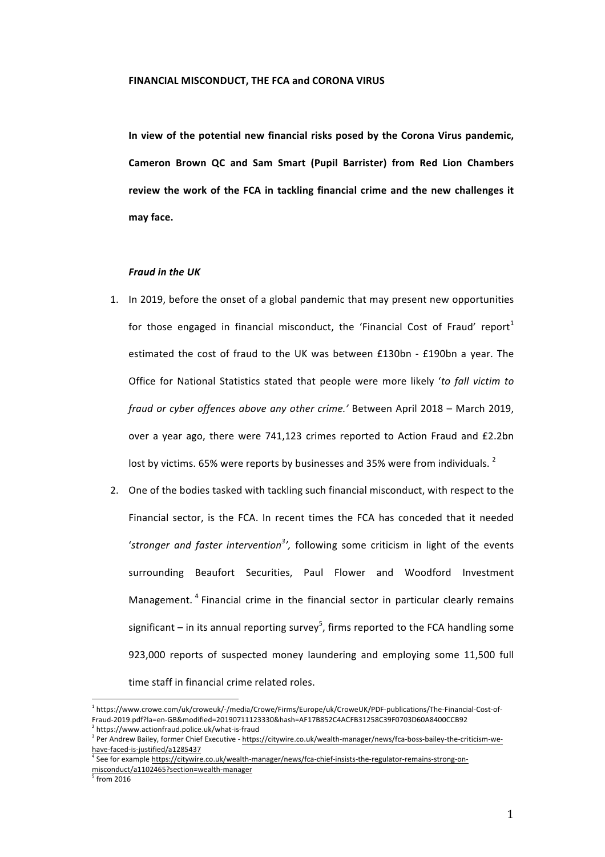In view of the potential new financial risks posed by the Corona Virus pandemic, **Cameron Brown QC and Sam Smart (Pupil Barrister) from Red Lion Chambers** review the work of the FCA in tackling financial crime and the new challenges it **may face.** 

### *Fraud in the UK*

- 1. In 2019, before the onset of a global pandemic that may present new opportunities for those engaged in financial misconduct, the 'Financial Cost of Fraud' report<sup>1</sup> estimated the cost of fraud to the UK was between £130bn - £190bn a year. The Office for National Statistics stated that people were more likely 'to fall victim to *fraud or cyber offences above any other crime.'* Between April 2018 – March 2019, over a year ago, there were 741,123 crimes reported to Action Fraud and £2.2bn lost by victims. 65% were reports by businesses and 35% were from individuals.  $2^2$
- 2. One of the bodies tasked with tackling such financial misconduct, with respect to the Financial sector, is the FCA. In recent times the FCA has conceded that it needed 'stronger and faster intervention<sup>3</sup>', following some criticism in light of the events surrounding Beaufort Securities, Paul Flower and Woodford Investment Management.<sup>4</sup> Financial crime in the financial sector in particular clearly remains significant – in its annual reporting survey<sup>5</sup>, firms reported to the FCA handling some 923,000 reports of suspected money laundering and employing some 11,500 full time staff in financial crime related roles.

<sup>1</sup> https://www.crowe.com/uk/croweuk/-/media/Crowe/Firms/Europe/uk/CroweUK/PDF-publications/The-Financial-Cost-of-Fraud-2019.pdf?la=en-GB&modified=20190711123330&hash=AF17B852C4ACFB31258C39F0703D60A8400CCB92  $^2$  https://www.actionfraud.police.uk/what-is-fraud

<sup>&</sup>lt;sup>3</sup> Per Andrew Bailey, former Chief Executive - https://citywire.co.uk/wealth-manager/news/fca-boss-bailey-the-criticism-wehave-faced-is-justified/a1285437

<sup>&</sup>lt;sup>4</sup> See for example https://citywire.co.uk/wealth-manager/news/fca-chief-insists-the-regulator-remains-strong-onmisconduct/a1102465?section=wealth-manager

 $\frac{1}{3}$  from 2016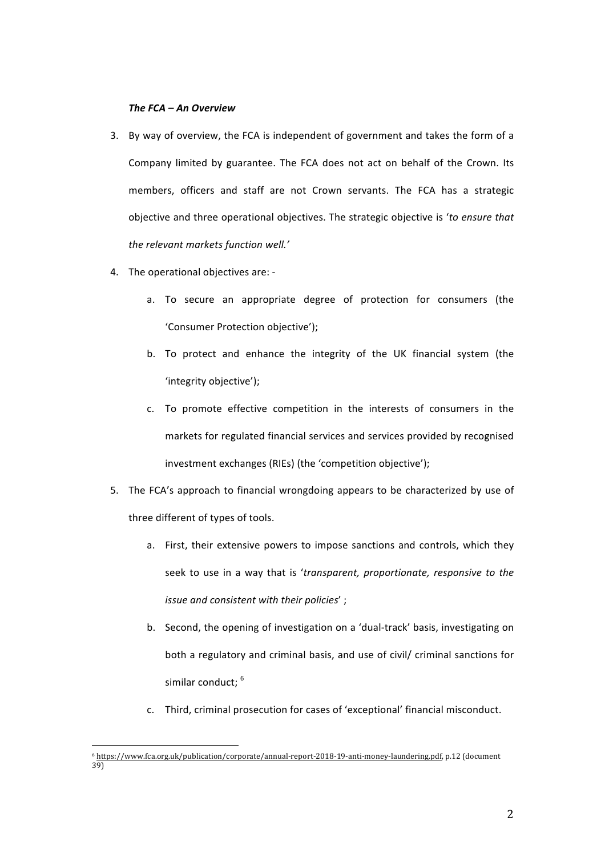# *The FCA – An Overview*

- 3. By way of overview, the FCA is independent of government and takes the form of a Company limited by guarantee. The FCA does not act on behalf of the Crown. Its members, officers and staff are not Crown servants. The FCA has a strategic objective and three operational objectives. The strategic objective is 'to ensure that the relevant markets function well.'
- 4. The operational objectives are:
	- a. To secure an appropriate degree of protection for consumers (the 'Consumer Protection objective');
	- b. To protect and enhance the integrity of the UK financial system (the 'integrity objective');
	- c. To promote effective competition in the interests of consumers in the markets for regulated financial services and services provided by recognised investment exchanges (RIEs) (the 'competition objective');
- 5. The FCA's approach to financial wrongdoing appears to be characterized by use of three different of types of tools.
	- a. First, their extensive powers to impose sanctions and controls, which they seek to use in a way that is 'transparent, proportionate, responsive to the *issue and consistent with their policies'*:
	- b. Second, the opening of investigation on a 'dual-track' basis, investigating on both a regulatory and criminal basis, and use of civil/ criminal sanctions for similar conduct; <sup>6</sup>
	- c. Third, criminal prosecution for cases of 'exceptional' financial misconduct.

 <sup>6</sup> https://www.fca.org.uk/publication/corporate/annual-report-2018-19-anti-money-laundering.pdf, p.12 (document 39)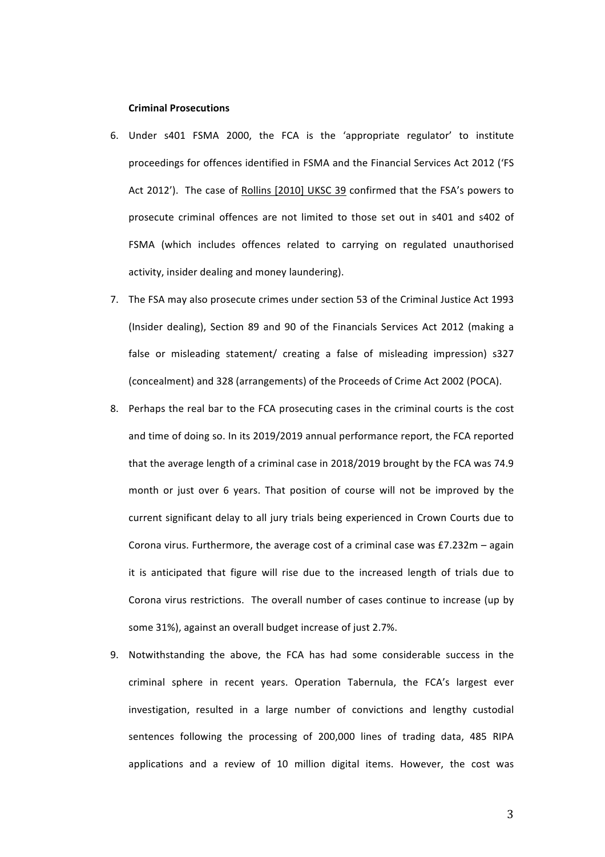#### **Criminal Prosecutions**

- 6. Under s401 FSMA 2000, the FCA is the 'appropriate regulator' to institute proceedings for offences identified in FSMA and the Financial Services Act 2012 ('FS Act 2012'). The case of Rollins [2010] UKSC 39 confirmed that the FSA's powers to prosecute criminal offences are not limited to those set out in s401 and s402 of FSMA (which includes offences related to carrying on regulated unauthorised activity, insider dealing and money laundering).
- 7. The FSA may also prosecute crimes under section 53 of the Criminal Justice Act 1993 (Insider dealing), Section 89 and 90 of the Financials Services Act 2012 (making a false or misleading statement/ creating a false of misleading impression) s327 (concealment) and 328 (arrangements) of the Proceeds of Crime Act 2002 (POCA).
- 8. Perhaps the real bar to the FCA prosecuting cases in the criminal courts is the cost and time of doing so. In its 2019/2019 annual performance report, the FCA reported that the average length of a criminal case in 2018/2019 brought by the FCA was 74.9 month or just over 6 years. That position of course will not be improved by the current significant delay to all jury trials being experienced in Crown Courts due to Corona virus. Furthermore, the average cost of a criminal case was  $£7.232m -$  again it is anticipated that figure will rise due to the increased length of trials due to Corona virus restrictions. The overall number of cases continue to increase (up by some 31%), against an overall budget increase of just 2.7%.
- 9. Notwithstanding the above, the FCA has had some considerable success in the criminal sphere in recent years. Operation Tabernula, the FCA's largest ever investigation, resulted in a large number of convictions and lengthy custodial sentences following the processing of 200,000 lines of trading data, 485 RIPA applications and a review of 10 million digital items. However, the cost was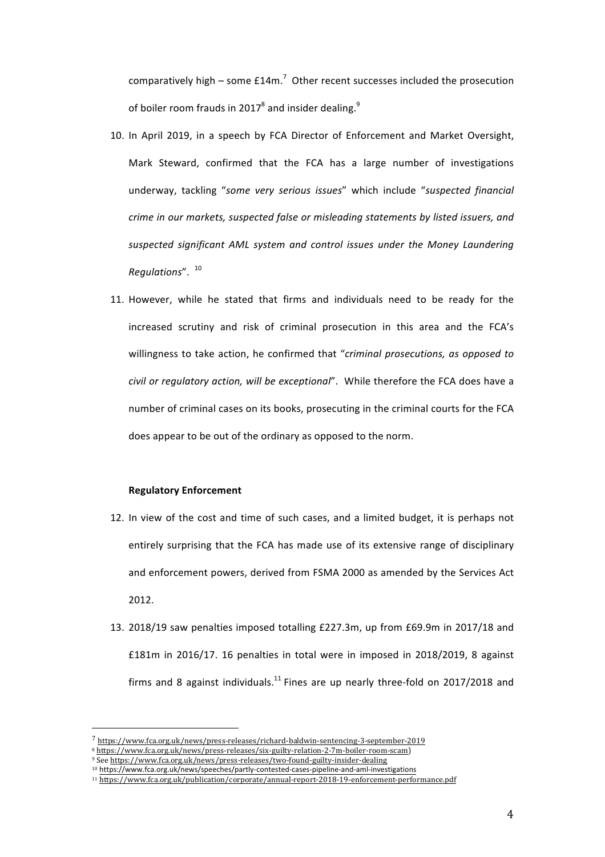comparatively high – some  $£14m<sup>7</sup>$  Other recent successes included the prosecution of boiler room frauds in 2017<sup>8</sup> and insider dealing.<sup>9</sup>

- 10. In April 2019, in a speech by FCA Director of Enforcement and Market Oversight, Mark Steward, confirmed that the FCA has a large number of investigations underway, tackling "some very serious issues" which include "suspected financial *crime in our markets, suspected false or misleading statements by listed issuers, and* suspected significant AML system and control issues under the Money Laundering *Regulations*". <sup>10</sup>
- 11. However, while he stated that firms and individuals need to be ready for the increased scrutiny and risk of criminal prosecution in this area and the FCA's willingness to take action, he confirmed that "*criminal prosecutions, as opposed to civil* or regulatory action, will be exceptional". While therefore the FCA does have a number of criminal cases on its books, prosecuting in the criminal courts for the FCA does appear to be out of the ordinary as opposed to the norm.

#### **Regulatory Enforcement**

- 12. In view of the cost and time of such cases, and a limited budget, it is perhaps not entirely surprising that the FCA has made use of its extensive range of disciplinary and enforcement powers, derived from FSMA 2000 as amended by the Services Act 2012.
- 13. 2018/19 saw penalties imposed totalling  $£227.3$ m, up from  $£69.9$ m in 2017/18 and £181m in 2016/17. 16 penalties in total were in imposed in  $2018/2019$ , 8 against firms and 8 against individuals.<sup>11</sup> Fines are up nearly three-fold on 2017/2018 and

<sup>7</sup> https://www.fca.org.uk/news/press-releases/richard-baldwin-sentencing-3-september-2019

<sup>8</sup> https://www.fca.org.uk/news/press-releases/six-guilty-relation-2-7m-boiler-room-scam) 

<sup>9</sup> See https://www.fca.org.uk/news/press-releases/two-found-guilty-insider-dealing

<sup>10</sup> https://www.fca.org.uk/news/speeches/partly-contested-cases-pipeline-and-aml-investigations

<sup>11</sup> https://www.fca.org.uk/publication/corporate/annual-report-2018-19-enforcement-performance.pdf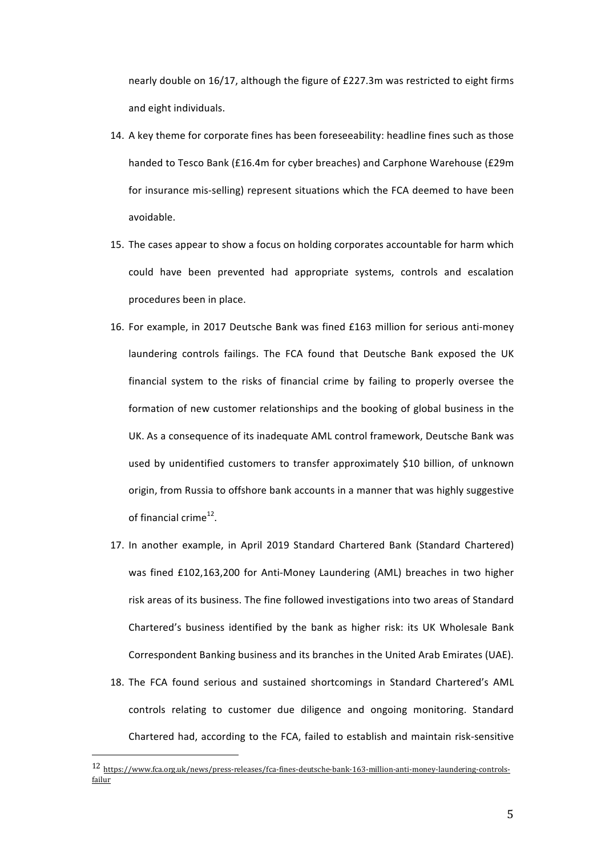nearly double on  $16/17$ , although the figure of £227.3m was restricted to eight firms and eight individuals.

- 14. A key theme for corporate fines has been foreseeability: headline fines such as those handed to Tesco Bank (£16.4m for cyber breaches) and Carphone Warehouse (£29m for insurance mis-selling) represent situations which the FCA deemed to have been avoidable.
- 15. The cases appear to show a focus on holding corporates accountable for harm which could have been prevented had appropriate systems, controls and escalation procedures been in place.
- 16. For example, in 2017 Deutsche Bank was fined £163 million for serious anti-money laundering controls failings. The FCA found that Deutsche Bank exposed the UK financial system to the risks of financial crime by failing to properly oversee the formation of new customer relationships and the booking of global business in the UK. As a consequence of its inadequate AML control framework, Deutsche Bank was used by unidentified customers to transfer approximately \$10 billion, of unknown origin, from Russia to offshore bank accounts in a manner that was highly suggestive of financial crime $^{12}$ .
- 17. In another example, in April 2019 Standard Chartered Bank (Standard Chartered) was fined £102,163,200 for Anti-Money Laundering (AML) breaches in two higher risk areas of its business. The fine followed investigations into two areas of Standard Chartered's business identified by the bank as higher risk: its UK Wholesale Bank Correspondent Banking business and its branches in the United Arab Emirates (UAE).
- 18. The FCA found serious and sustained shortcomings in Standard Chartered's AML controls relating to customer due diligence and ongoing monitoring. Standard Chartered had, according to the FCA, failed to establish and maintain risk-sensitive

<sup>12</sup> https://www.fca.org.uk/news/press-releases/fca-fines-deutsche-bank-163-million-anti-money-laundering-controlsfailur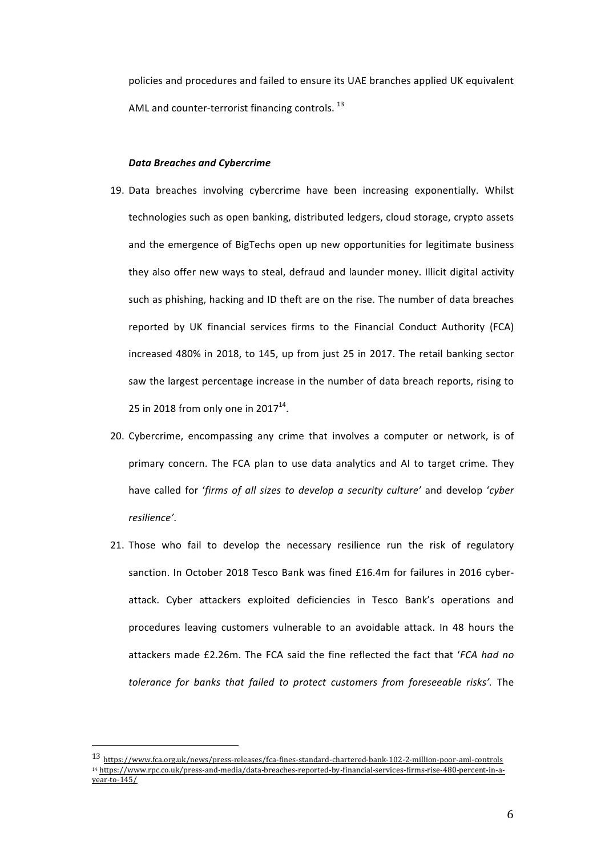policies and procedures and failed to ensure its UAE branches applied UK equivalent AML and counter-terrorist financing controls.  $^{13}$ 

## *Data Breaches and Cybercrime*

- 19. Data breaches involving cybercrime have been increasing exponentially. Whilst technologies such as open banking, distributed ledgers, cloud storage, crypto assets and the emergence of BigTechs open up new opportunities for legitimate business they also offer new ways to steal, defraud and launder money. Illicit digital activity such as phishing, hacking and ID theft are on the rise. The number of data breaches reported by UK financial services firms to the Financial Conduct Authority (FCA) increased 480% in 2018, to 145, up from just 25 in 2017. The retail banking sector saw the largest percentage increase in the number of data breach reports, rising to 25 in 2018 from only one in 2017 $^{14}$ .
- 20. Cybercrime, encompassing any crime that involves a computer or network, is of primary concern. The FCA plan to use data analytics and AI to target crime. They have called for 'firms of all sizes to develop a security culture' and develop 'cyber *resilience'*.
- 21. Those who fail to develop the necessary resilience run the risk of regulatory sanction. In October 2018 Tesco Bank was fined £16.4m for failures in 2016 cyberattack. Cyber attackers exploited deficiencies in Tesco Bank's operations and procedures leaving customers vulnerable to an avoidable attack. In 48 hours the attackers made £2.26m. The FCA said the fine reflected the fact that 'FCA had no *tolerance for banks that failed to protect customers from foreseeable risks'*. The

<sup>13</sup> https://www.fca.org.uk/news/press-releases/fca-fines-standard-chartered-bank-102-2-million-poor-aml-controls <sup>14</sup> https://www.rpc.co.uk/press-and-media/data-breaches-reported-by-financial-services-firms-rise-480-percent-in-ayear-to-145/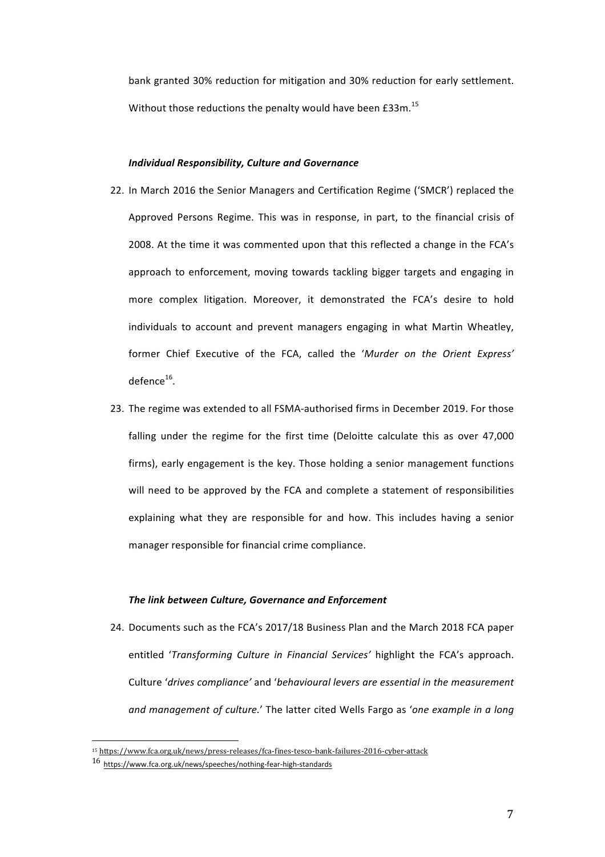bank granted 30% reduction for mitigation and 30% reduction for early settlement. Without those reductions the penalty would have been £33m.<sup>15</sup>

## *Individual Responsibility, Culture and Governance*

- 22. In March 2016 the Senior Managers and Certification Regime ('SMCR') replaced the Approved Persons Regime. This was in response, in part, to the financial crisis of 2008. At the time it was commented upon that this reflected a change in the FCA's approach to enforcement, moving towards tackling bigger targets and engaging in more complex litigation. Moreover, it demonstrated the FCA's desire to hold individuals to account and prevent managers engaging in what Martin Wheatley, former Chief Executive of the FCA, called the '*Murder on the Orient Express'*  $defence<sup>16</sup>$ .
- 23. The regime was extended to all FSMA-authorised firms in December 2019. For those falling under the regime for the first time (Deloitte calculate this as over 47,000 firms), early engagement is the key. Those holding a senior management functions will need to be approved by the FCA and complete a statement of responsibilities explaining what they are responsible for and how. This includes having a senior manager responsible for financial crime compliance.

### **The link between Culture, Governance and Enforcement**

24. Documents such as the FCA's 2017/18 Business Plan and the March 2018 FCA paper entitled '*Transforming Culture in Financial Services'* highlight the FCA's approach. Culture 'drives compliance' and 'behavioural levers are essential in the measurement *and management of culture.'* The latter cited Wells Fargo as '*one example in a long* 

<sup>&</sup>lt;sup>15</sup> https://www.fca.org.uk/news/press-releases/fca-fines-tesco-bank-failures-2016-cyber-attack

<sup>16</sup> https://www.fca.org.uk/news/speeches/nothing-fear-high-standards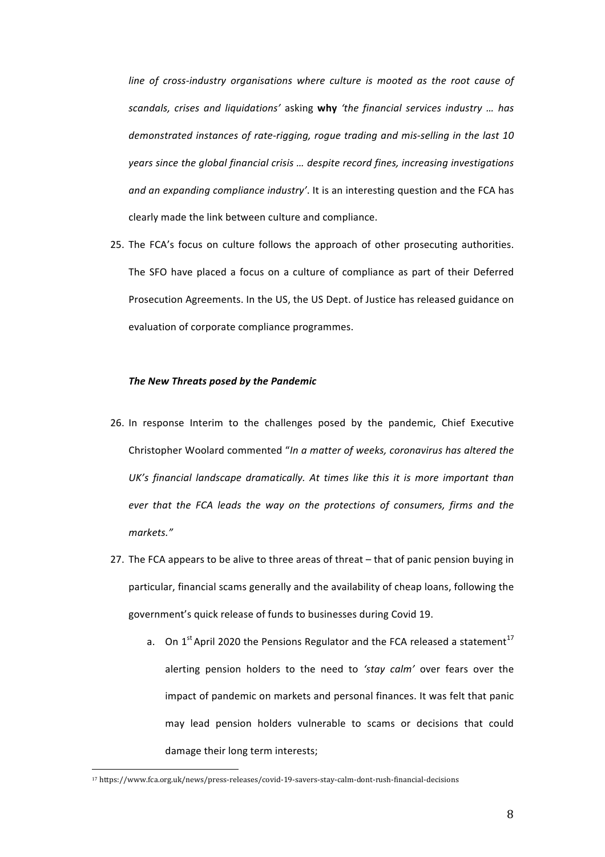line of cross-industry organisations where culture is mooted as the root cause of *scandals, crises and liquidations'*  asking **why** *'the financial services industry … has*  demonstrated instances of rate-rigging, rogue trading and mis-selling in the last 10 *years since the global financial crisis ... despite record fines, increasing investigations* and an expanding compliance industry'. It is an interesting question and the FCA has clearly made the link between culture and compliance.

25. The FCA's focus on culture follows the approach of other prosecuting authorities. The SFO have placed a focus on a culture of compliance as part of their Deferred Prosecution Agreements. In the US, the US Dept. of Justice has released guidance on evaluation of corporate compliance programmes.

## **The New Threats posed by the Pandemic**

- 26. In response Interim to the challenges posed by the pandemic, Chief Executive Christopher Woolard commented "In a matter of weeks, coronavirus has altered the UK's financial landscape dramatically. At times like this it is more important than *ever* that the FCA leads the way on the protections of consumers, firms and the *markets."*
- 27. The FCA appears to be alive to three areas of threat that of panic pension buying in particular, financial scams generally and the availability of cheap loans, following the government's quick release of funds to businesses during Covid 19.
	- a. On  $1^{st}$  April 2020 the Pensions Regulator and the FCA released a statement<sup>17</sup> alerting pension holders to the need to 'stay calm' over fears over the impact of pandemic on markets and personal finances. It was felt that panic may lead pension holders vulnerable to scams or decisions that could damage their long term interests;

<sup>17</sup> https://www.fca.org.uk/news/press-releases/covid-19-savers-stay-calm-dont-rush-financial-decisions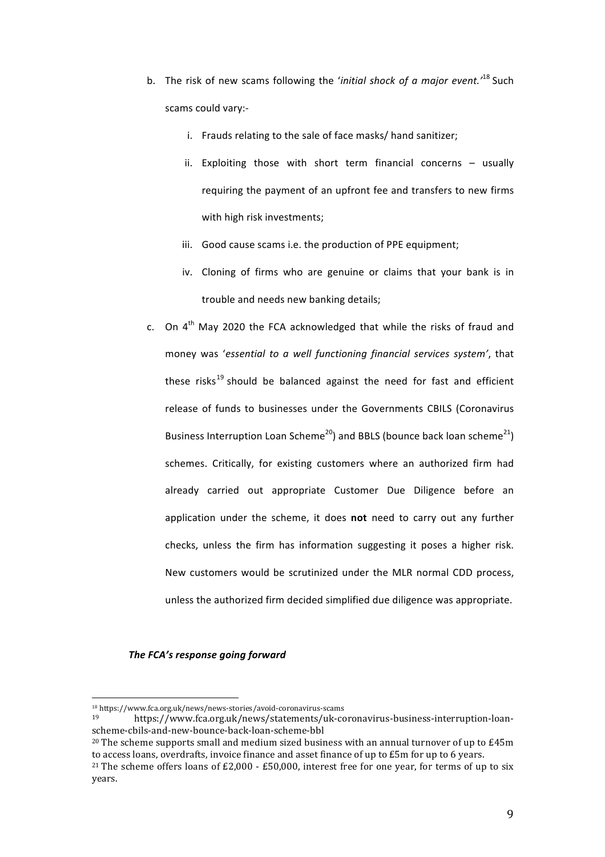- b. The risk of new scams following the *'initial shock of a major event.*<sup>18</sup> Such scams could vary:
	- i. Frauds relating to the sale of face masks/ hand sanitizer;
	- ii. Exploiting those with short term financial concerns  $-$  usually requiring the payment of an upfront fee and transfers to new firms with high risk investments;
	- iii. Good cause scams i.e. the production of PPE equipment;
	- iv. Cloning of firms who are genuine or claims that your bank is in trouble and needs new banking details;
- c. On  $4<sup>th</sup>$  May 2020 the FCA acknowledged that while the risks of fraud and money was 'essential to a well functioning financial services system', that these risks<sup>19</sup> should be balanced against the need for fast and efficient release of funds to businesses under the Governments CBILS (Coronavirus Business Interruption Loan Scheme<sup>20</sup>) and BBLS (bounce back loan scheme<sup>21</sup>) schemes. Critically, for existing customers where an authorized firm had already carried out appropriate Customer Due Diligence before an application under the scheme, it does not need to carry out any further checks, unless the firm has information suggesting it poses a higher risk. New customers would be scrutinized under the MLR normal CDD process, unless the authorized firm decided simplified due diligence was appropriate.

# *The FCA's response going forward*

<sup>18</sup> https://www.fca.org.uk/news/news-stories/avoid-coronavirus-scams

<sup>19</sup> https://www.fca.org.uk/news/statements/uk-coronavirus-business-interruption-loanscheme-cbils-and-new-bounce-back-loan-scheme-bbl

<sup>&</sup>lt;sup>20</sup> The scheme supports small and medium sized business with an annual turnover of up to  $E45m$ to access loans, overdrafts, invoice finance and asset finance of up to £5m for up to 6 years.

<sup>&</sup>lt;sup>21</sup> The scheme offers loans of £2,000 - £50,000, interest free for one year, for terms of up to six years.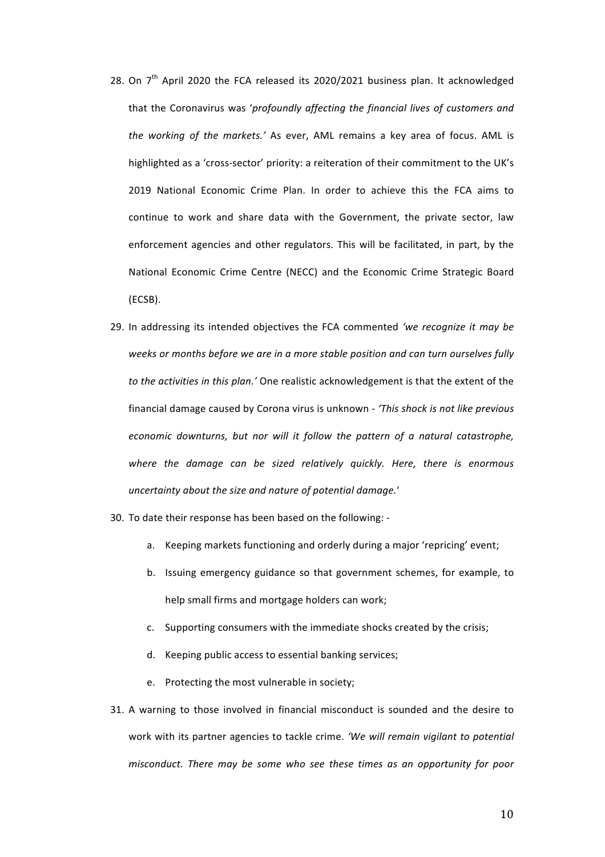- 28. On  $7<sup>th</sup>$  April 2020 the FCA released its 2020/2021 business plan. It acknowledged that the Coronavirus was 'profoundly affecting the financial lives of customers and *the working of the markets.'* As ever, AML remains a key area of focus. AML is highlighted as a 'cross-sector' priority: a reiteration of their commitment to the UK's 2019 National Economic Crime Plan. In order to achieve this the FCA aims to continue to work and share data with the Government, the private sector, law enforcement agencies and other regulators. This will be facilitated, in part, by the National Economic Crime Centre (NECC) and the Economic Crime Strategic Board (ECSB).
- 29. In addressing its intended objectives the FCA commented 'we recognize it may be weeks or months before we are in a more stable position and can turn ourselves fully to the activities in this plan.' One realistic acknowledgement is that the extent of the financial damage caused by Corona virus is unknown - 'This shock is not like previous *economic downturns, but nor will it follow the pattern of a natural catastrophe,* where the damage can be sized relatively quickly. Here, there is enormous *uncertainty about the size and nature of potential damage.*'
- 30. To date their response has been based on the following:
	- a. Keeping markets functioning and orderly during a major 'repricing' event;
	- b. Issuing emergency guidance so that government schemes, for example, to help small firms and mortgage holders can work;
	- c. Supporting consumers with the immediate shocks created by the crisis;
	- d. Keeping public access to essential banking services;
	- e. Protecting the most vulnerable in society;
- 31. A warning to those involved in financial misconduct is sounded and the desire to work with its partner agencies to tackle crime. 'We will remain vigilant to potential *misconduct.* There may be some who see these times as an opportunity for poor